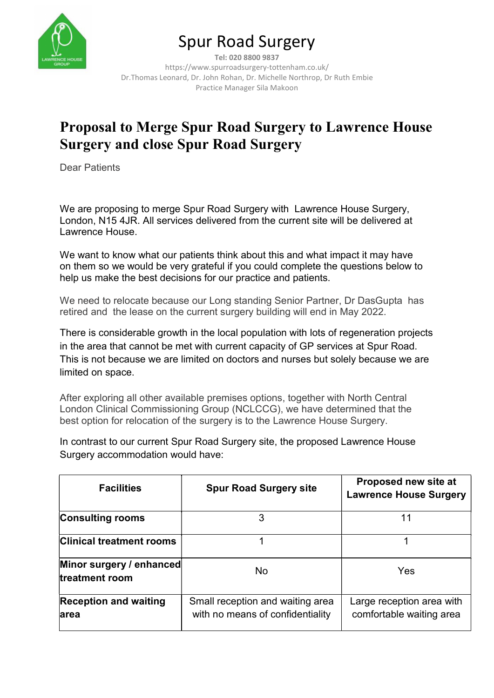

# Spur Road Surgery

Tel: 020 8800 9837 https://www.spurroadsurgery-tottenham.co.uk/ Dr.Thomas Leonard, Dr. John Rohan, Dr. Michelle Northrop, Dr Ruth Embie Practice Manager Sila Makoon

## Proposal to Merge Spur Road Surgery to Lawrence House Surgery and close Spur Road Surgery

Dear Patients

We are proposing to merge Spur Road Surgery with Lawrence House Surgery, London, N15 4JR. All services delivered from the current site will be delivered at Lawrence House.

We want to know what our patients think about this and what impact it may have on them so we would be very grateful if you could complete the questions below to help us make the best decisions for our practice and patients.

We need to relocate because our Long standing Senior Partner, Dr DasGupta has retired and the lease on the current surgery building will end in May 2022.

There is considerable growth in the local population with lots of regeneration projects in the area that cannot be met with current capacity of GP services at Spur Road. This is not because we are limited on doctors and nurses but solely because we are limited on space.

After exploring all other available premises options, together with North Central London Clinical Commissioning Group (NCLCCG), we have determined that the best option for relocation of the surgery is to the Lawrence House Surgery.

In contrast to our current Spur Road Surgery site, the proposed Lawrence House Surgery accommodation would have:

| <b>Facilities</b>                          | <b>Spur Road Surgery site</b>                                        | Proposed new site at<br><b>Lawrence House Surgery</b> |
|--------------------------------------------|----------------------------------------------------------------------|-------------------------------------------------------|
| <b>Consulting rooms</b>                    | 3                                                                    |                                                       |
| <b>Clinical treatment rooms</b>            |                                                                      |                                                       |
| Minor surgery / enhanced<br>treatment room | No                                                                   | Yes                                                   |
| <b>Reception and waiting</b><br>larea      | Small reception and waiting area<br>with no means of confidentiality | Large reception area with<br>comfortable waiting area |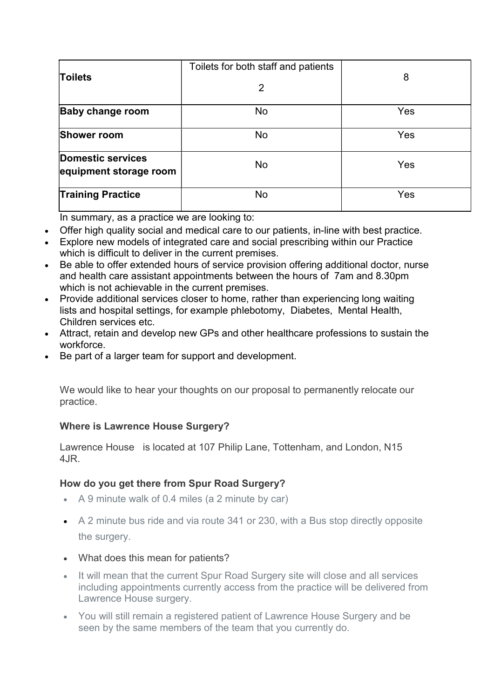| <b>Toilets</b>                              | Toilets for both staff and patients<br>2 | 8   |
|---------------------------------------------|------------------------------------------|-----|
| <b>Baby change room</b>                     | No                                       | Yes |
| <b>Shower room</b>                          | No                                       | Yes |
| Domestic services<br>equipment storage room | No                                       | Yes |
| <b>Training Practice</b>                    | No                                       | Yes |

In summary, as a practice we are looking to:

- Offer high quality social and medical care to our patients, in-line with best practice.
- Explore new models of integrated care and social prescribing within our Practice which is difficult to deliver in the current premises.
- Be able to offer extended hours of service provision offering additional doctor, nurse and health care assistant appointments between the hours of 7am and 8.30pm which is not achievable in the current premises.
- Provide additional services closer to home, rather than experiencing long waiting lists and hospital settings, for example phlebotomy, Diabetes, Mental Health, Children services etc.
- Attract, retain and develop new GPs and other healthcare professions to sustain the workforce.
- Be part of a larger team for support and development.

We would like to hear your thoughts on our proposal to permanently relocate our practice.

## Where is Lawrence House Surgery?

Lawrence House is located at 107 Philip Lane, Tottenham, and London, N15 4JR.

## How do you get there from Spur Road Surgery?

- A 9 minute walk of 0.4 miles (a 2 minute by car)
- A 2 minute bus ride and via route 341 or 230, with a Bus stop directly opposite the surgery.
- What does this mean for patients?
- It will mean that the current Spur Road Surgery site will close and all services including appointments currently access from the practice will be delivered from Lawrence House surgery.
- You will still remain a registered patient of Lawrence House Surgery and be seen by the same members of the team that you currently do.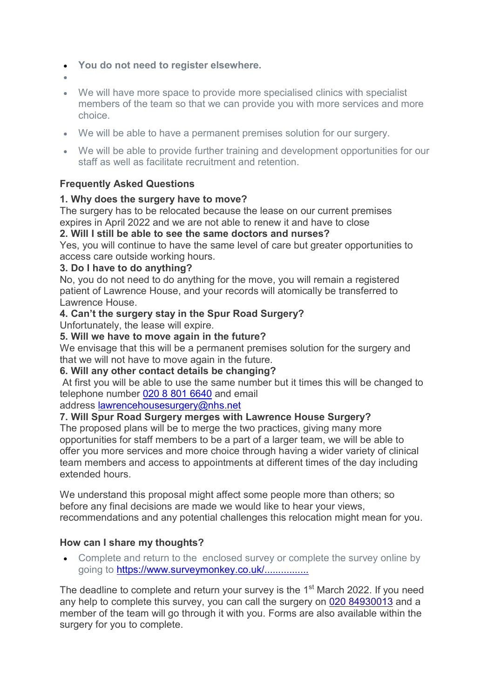- You do not need to register elsewhere.
- $\bullet$
- We will have more space to provide more specialised clinics with specialist members of the team so that we can provide you with more services and more choice.
- We will be able to have a permanent premises solution for our surgery.
- We will be able to provide further training and development opportunities for our staff as well as facilitate recruitment and retention.

## Frequently Asked Questions

## 1. Why does the surgery have to move?

The surgery has to be relocated because the lease on our current premises expires in April 2022 and we are not able to renew it and have to close

## 2. Will I still be able to see the same doctors and nurses?

Yes, you will continue to have the same level of care but greater opportunities to access care outside working hours.

#### 3. Do I have to do anything?

No, you do not need to do anything for the move, you will remain a registered patient of Lawrence House, and your records will atomically be transferred to Lawrence House.

## 4. Can't the surgery stay in the Spur Road Surgery?

Unfortunately, the lease will expire.

## 5. Will we have to move again in the future?

We envisage that this will be a permanent premises solution for the surgery and that we will not have to move again in the future.

#### 6. Will any other contact details be changing?

 At first you will be able to use the same number but it times this will be changed to telephone number 020 8 801 6640 and email

#### address lawrencehousesurgery@nhs.net

## 7. Will Spur Road Surgery merges with Lawrence House Surgery?

The proposed plans will be to merge the two practices, giving many more opportunities for staff members to be a part of a larger team, we will be able to offer you more services and more choice through having a wider variety of clinical team members and access to appointments at different times of the day including extended hours.

We understand this proposal might affect some people more than others; so before any final decisions are made we would like to hear your views, recommendations and any potential challenges this relocation might mean for you.

## How can I share my thoughts?

 Complete and return to the enclosed survey or complete the survey online by going to https://www.surveymonkey.co.uk/...............

The deadline to complete and return your survey is the 1<sup>st</sup> March 2022. If you need any help to complete this survey, you can call the surgery on 020 84930013 and a member of the team will go through it with you. Forms are also available within the surgery for you to complete.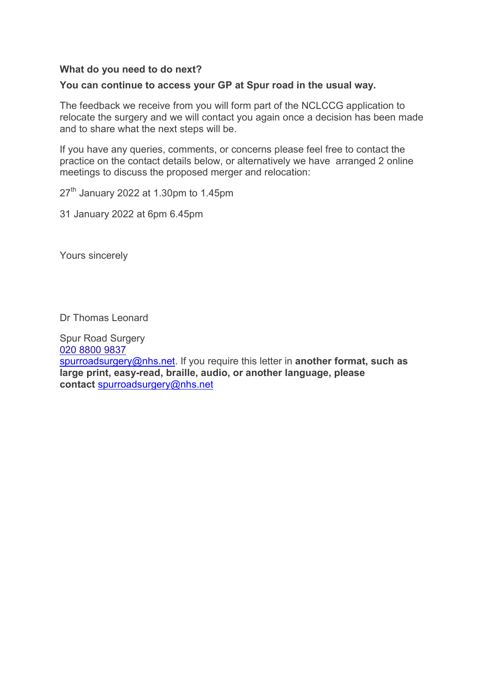#### What do you need to do next?

#### You can continue to access your GP at Spur road in the usual way.

The feedback we receive from you will form part of the NCLCCG application to relocate the surgery and we will contact you again once a decision has been made and to share what the next steps will be.

If you have any queries, comments, or concerns please feel free to contact the practice on the contact details below, or alternatively we have arranged 2 online meetings to discuss the proposed merger and relocation:

 $27<sup>th</sup>$  January 2022 at 1.30pm to 1.45pm

31 January 2022 at 6pm 6.45pm

Yours sincerely

Dr Thomas Leonard

Spur Road Surgery 020 8800 9837 spurroadsurgery@nhs.net. If you require this letter in another format, such as large print, easy-read, braille, audio, or another language, please contact spurroadsurgery@nhs.net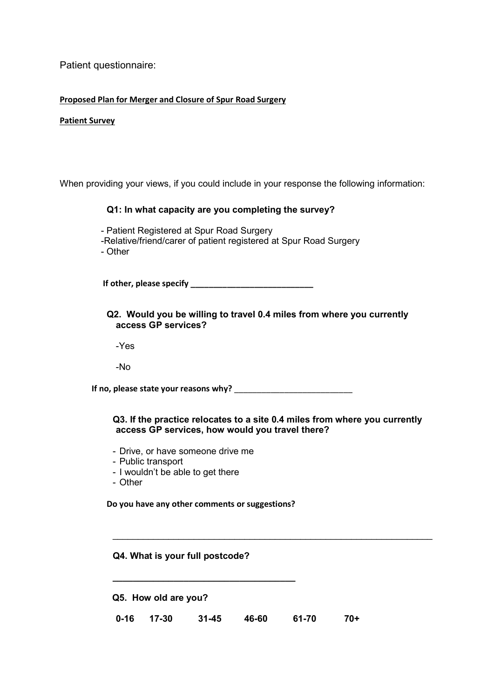Patient questionnaire:

#### Proposed Plan for Merger and Closure of Spur Road Surgery

#### Patient Survey

When providing your views, if you could include in your response the following information:

#### Q1: In what capacity are you completing the survey?

- Patient Registered at Spur Road Surgery -Relative/friend/carer of patient registered at Spur Road Surgery - Other

If other, please specify \_\_\_\_\_\_\_\_\_\_\_\_\_\_\_\_\_\_\_\_\_\_\_\_\_\_\_

#### Q2. Would you be willing to travel 0.4 miles from where you currently access GP services?

-Yes

-No

If no, please state your reasons why?

#### Q3. If the practice relocates to a site 0.4 miles from where you currently access GP services, how would you travel there?

 $\_$  , and the contribution of the contribution of  $\mathcal{L}_\mathcal{A}$  , and the contribution of  $\mathcal{L}_\mathcal{A}$ 

- Drive, or have someone drive me
- Public transport
- I wouldn't be able to get there
- Other

Do you have any other comments or suggestions?

\_\_\_\_\_\_\_\_\_\_\_\_\_\_\_\_\_\_\_\_\_\_\_\_\_\_\_\_\_\_\_\_\_\_\_\_

#### Q4. What is your full postcode?

Q5. How old are you?

0-16 17-30 31-45 46-60 61-70 70+